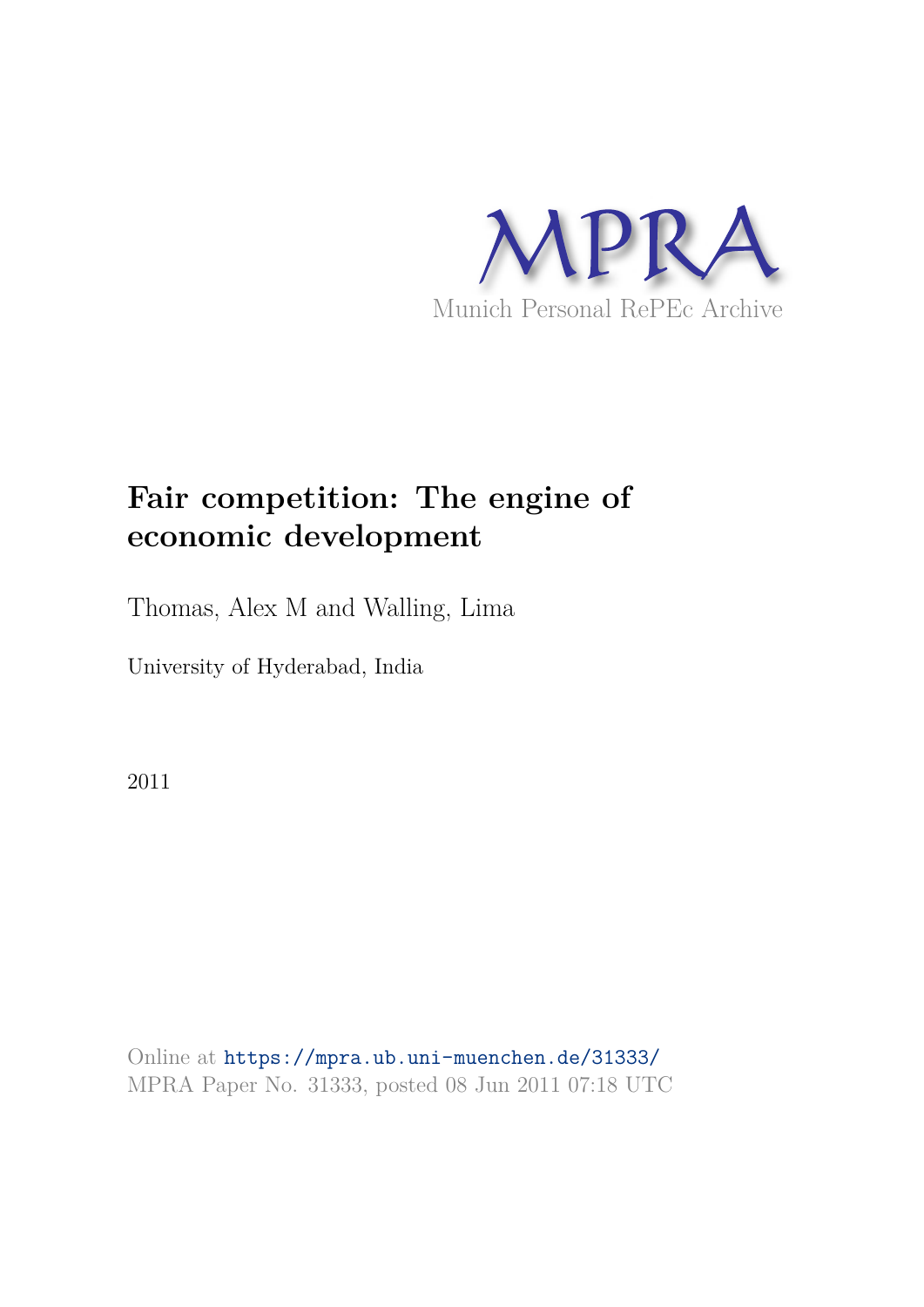

## **Fair competition: The engine of economic development**

Thomas, Alex M and Walling, Lima

University of Hyderabad, India

2011

Online at https://mpra.ub.uni-muenchen.de/31333/ MPRA Paper No. 31333, posted 08 Jun 2011 07:18 UTC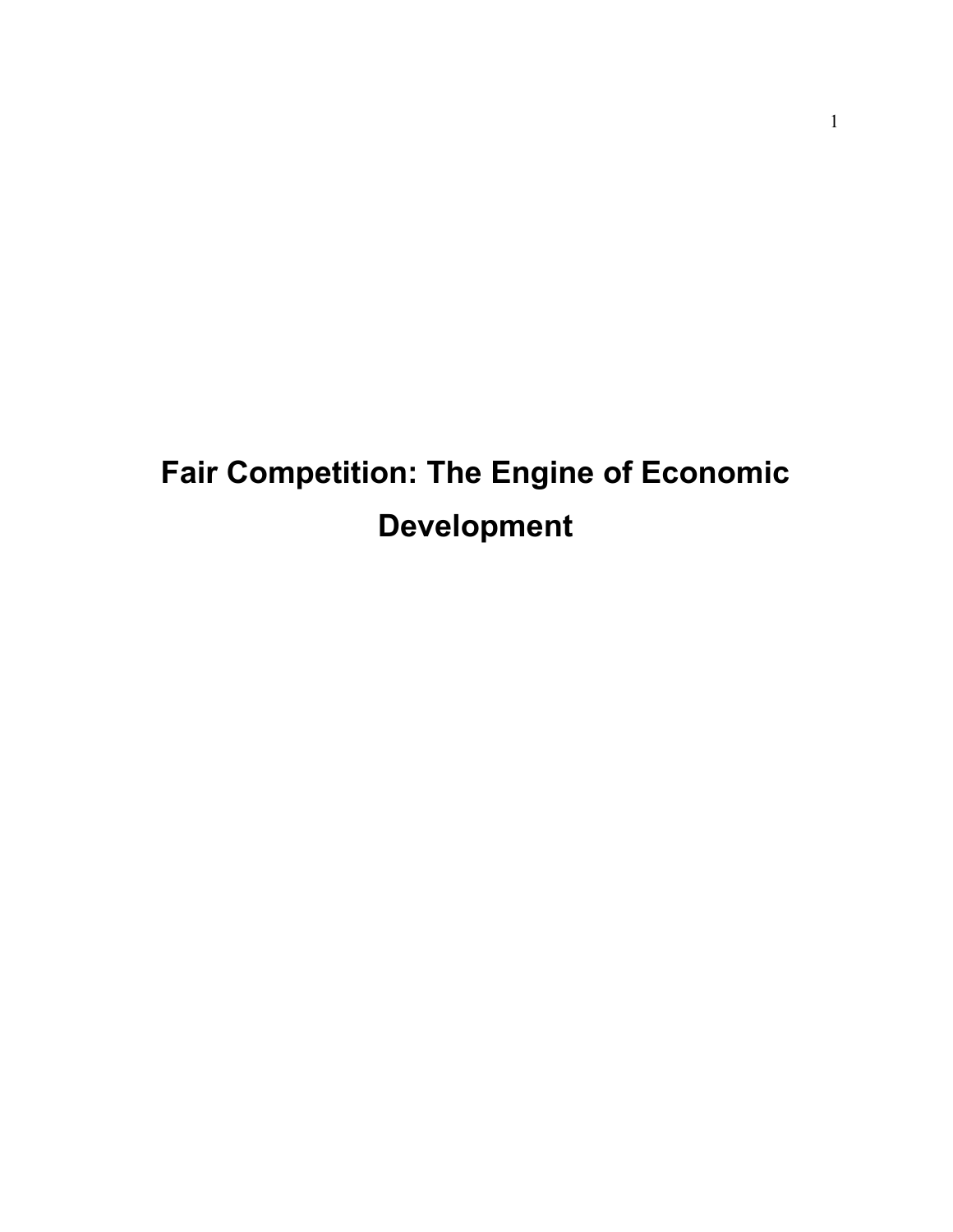# **Fair Competition: The Engine of Economic Development**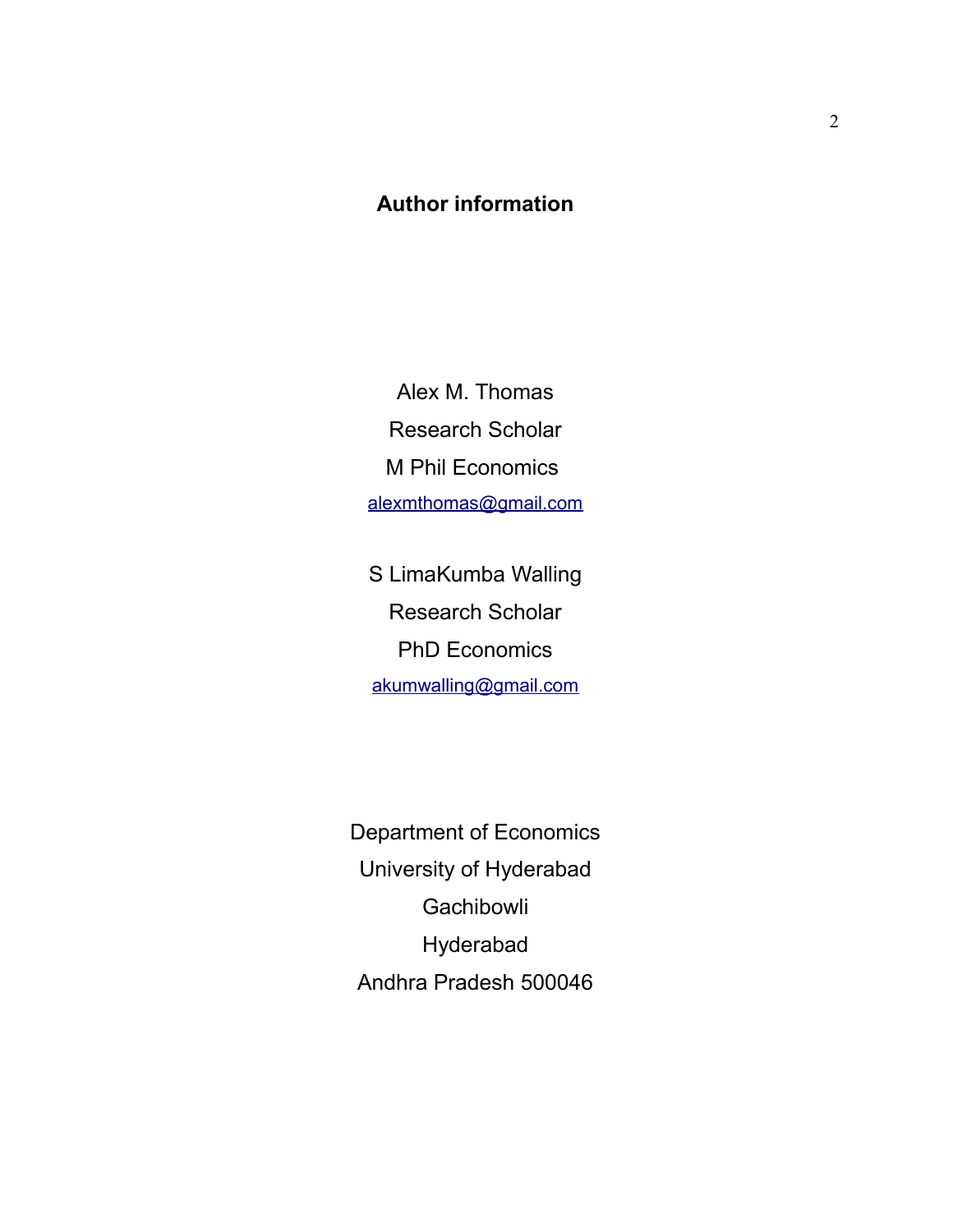### **Author information**

Alex M. Thomas Research Scholar M Phil Economics alexmthomas@gmail.com

S LimaKumba Walling Research Scholar PhD Economics akumwalling@gmail.com

Department of Economics University of Hyderabad **Gachibowli** Hyderabad Andhra Pradesh 500046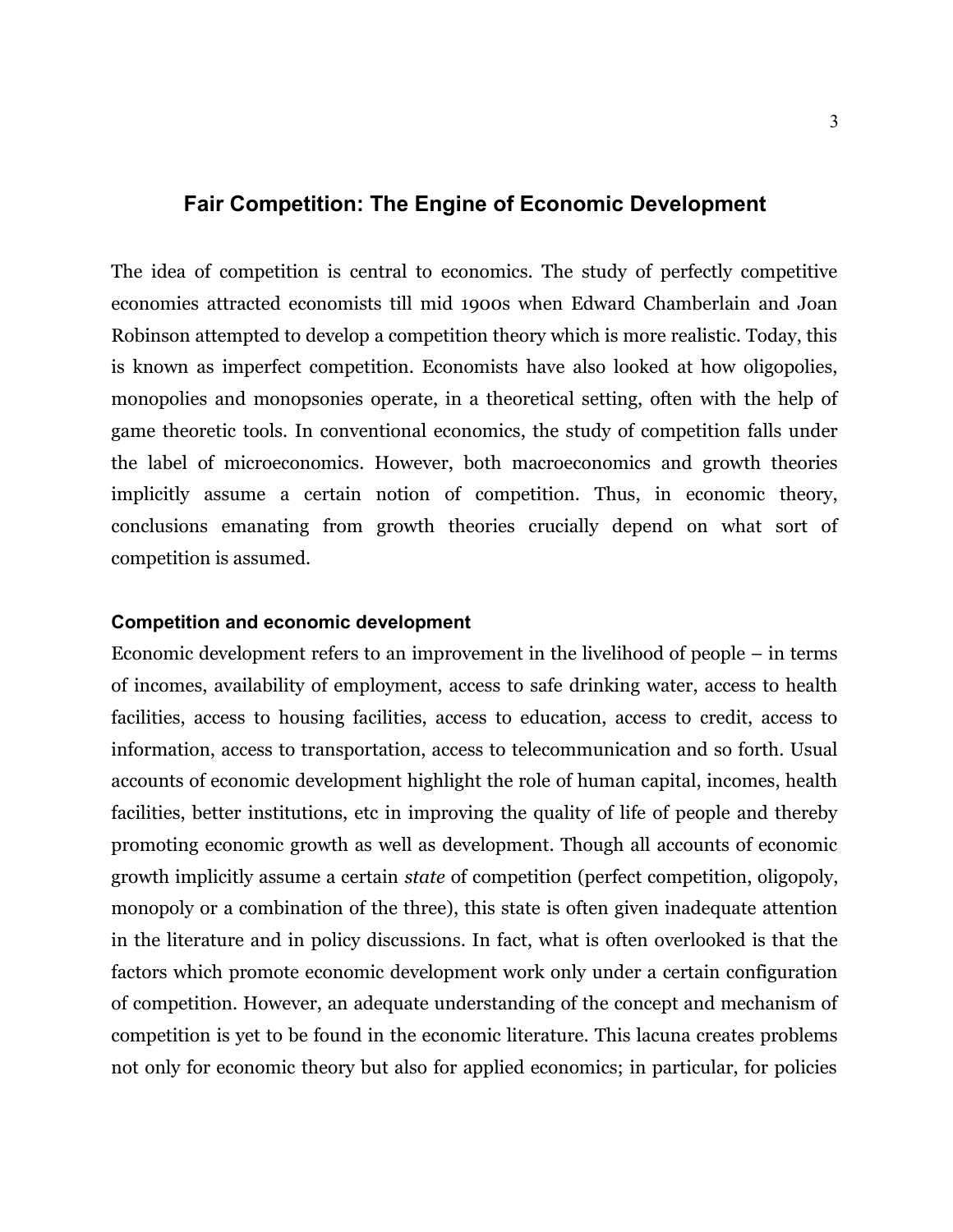#### **Fair Competition: The Engine of Economic Development**

The idea of competition is central to economics. The study of perfectly competitive economies attracted economists till mid 1900s when Edward Chamberlain and Joan Robinson attempted to develop a competition theory which is more realistic. Today, this is known as imperfect competition. Economists have also looked at how oligopolies, monopolies and monopsonies operate, in a theoretical setting, often with the help of game theoretic tools. In conventional economics, the study of competition falls under the label of microeconomics. However, both macroeconomics and growth theories implicitly assume a certain notion of competition. Thus, in economic theory, conclusions emanating from growth theories crucially depend on what sort of competition is assumed.

#### **Competition and economic development**

Economic development refers to an improvement in the livelihood of people – in terms of incomes, availability of employment, access to safe drinking water, access to health facilities, access to housing facilities, access to education, access to credit, access to information, access to transportation, access to telecommunication and so forth. Usual accounts of economic development highlight the role of human capital, incomes, health facilities, better institutions, etc in improving the quality of life of people and thereby promoting economic growth as well as development. Though all accounts of economic growth implicitly assume a certain *state* of competition (perfect competition, oligopoly, monopoly or a combination of the three), this state is often given inadequate attention in the literature and in policy discussions. In fact, what is often overlooked is that the factors which promote economic development work only under a certain configuration of competition. However, an adequate understanding of the concept and mechanism of competition is yet to be found in the economic literature. This lacuna creates problems not only for economic theory but also for applied economics; in particular, for policies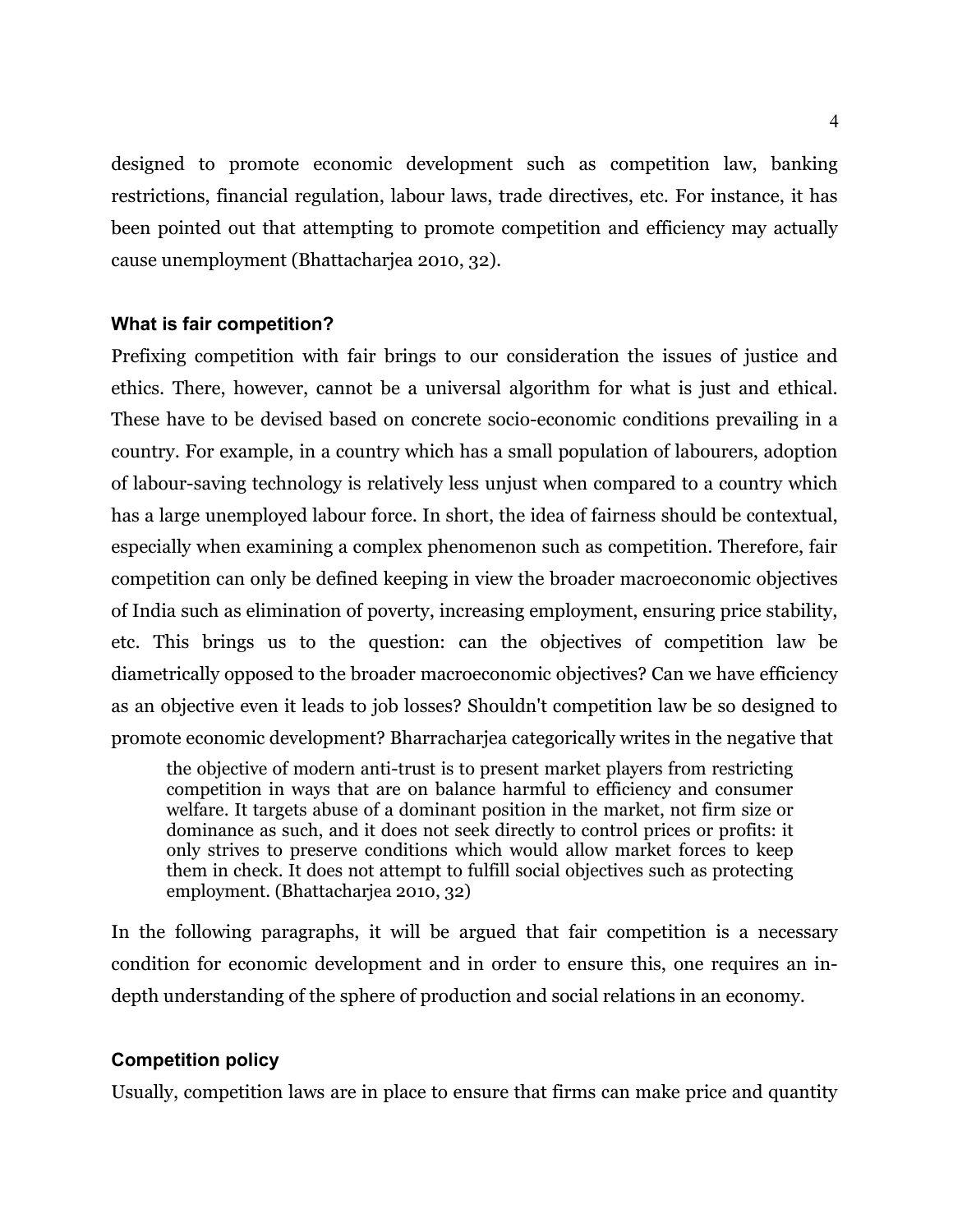designed to promote economic development such as competition law, banking restrictions, financial regulation, labour laws, trade directives, etc. For instance, it has been pointed out that attempting to promote competition and efficiency may actually cause unemployment (Bhattacharjea 2010, 32).

#### **What is fair competition?**

Prefixing competition with fair brings to our consideration the issues of justice and ethics. There, however, cannot be a universal algorithm for what is just and ethical. These have to be devised based on concrete socio-economic conditions prevailing in a country. For example, in a country which has a small population of labourers, adoption of labour-saving technology is relatively less unjust when compared to a country which has a large unemployed labour force. In short, the idea of fairness should be contextual, especially when examining a complex phenomenon such as competition. Therefore, fair competition can only be defined keeping in view the broader macroeconomic objectives of India such as elimination of poverty, increasing employment, ensuring price stability, etc. This brings us to the question: can the objectives of competition law be diametrically opposed to the broader macroeconomic objectives? Can we have efficiency as an objective even it leads to job losses? Shouldn't competition law be so designed to promote economic development? Bharracharjea categorically writes in the negative that

the objective of modern anti-trust is to present market players from restricting competition in ways that are on balance harmful to efficiency and consumer welfare. It targets abuse of a dominant position in the market, not firm size or dominance as such, and it does not seek directly to control prices or profits: it only strives to preserve conditions which would allow market forces to keep them in check. It does not attempt to fulfill social objectives such as protecting employment. (Bhattacharjea 2010, 32)

In the following paragraphs, it will be argued that fair competition is a necessary condition for economic development and in order to ensure this, one requires an indepth understanding of the sphere of production and social relations in an economy.

#### **Competition policy**

Usually, competition laws are in place to ensure that firms can make price and quantity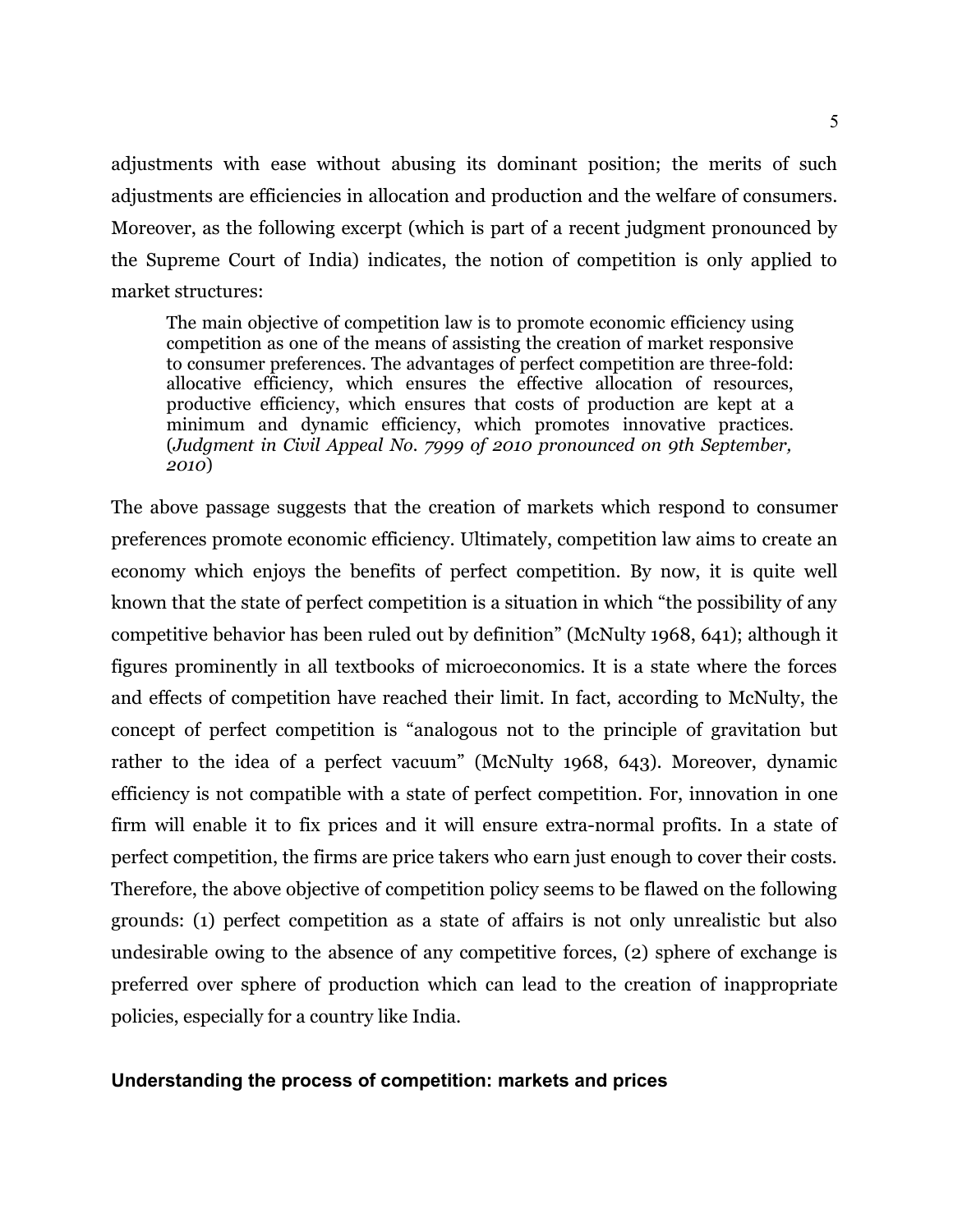adjustments with ease without abusing its dominant position; the merits of such adjustments are efficiencies in allocation and production and the welfare of consumers. Moreover, as the following excerpt (which is part of a recent judgment pronounced by the Supreme Court of India) indicates, the notion of competition is only applied to market structures:

The main objective of competition law is to promote economic efficiency using competition as one of the means of assisting the creation of market responsive to consumer preferences. The advantages of perfect competition are three-fold: allocative efficiency, which ensures the effective allocation of resources, productive efficiency, which ensures that costs of production are kept at a minimum and dynamic efficiency, which promotes innovative practices. (*Judgment in Civil Appeal No. 7999 of 2010 pronounced on 9th September, 2010*)

The above passage suggests that the creation of markets which respond to consumer preferences promote economic efficiency. Ultimately, competition law aims to create an economy which enjoys the benefits of perfect competition. By now, it is quite well known that the state of perfect competition is a situation in which "the possibility of any competitive behavior has been ruled out by definition" (McNulty 1968, 641); although it figures prominently in all textbooks of microeconomics. It is a state where the forces and effects of competition have reached their limit. In fact, according to McNulty, the concept of perfect competition is "analogous not to the principle of gravitation but rather to the idea of a perfect vacuum" (McNulty 1968, 643). Moreover, dynamic efficiency is not compatible with a state of perfect competition. For, innovation in one firm will enable it to fix prices and it will ensure extra-normal profits. In a state of perfect competition, the firms are price takers who earn just enough to cover their costs. Therefore, the above objective of competition policy seems to be flawed on the following grounds: (1) perfect competition as a state of affairs is not only unrealistic but also undesirable owing to the absence of any competitive forces, (2) sphere of exchange is preferred over sphere of production which can lead to the creation of inappropriate policies, especially for a country like India.

#### **Understanding the process of competition: markets and prices**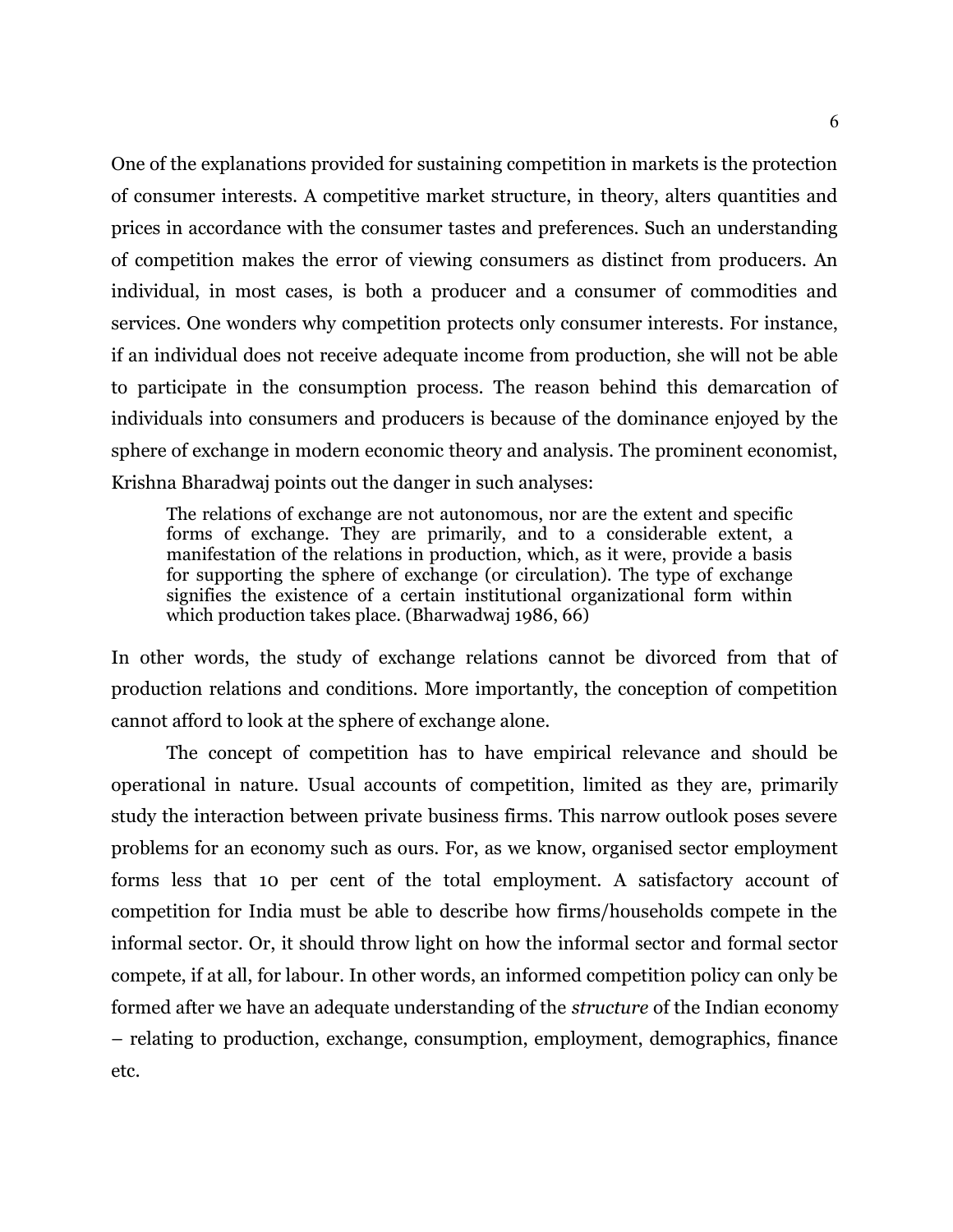One of the explanations provided for sustaining competition in markets is the protection of consumer interests. A competitive market structure, in theory, alters quantities and prices in accordance with the consumer tastes and preferences. Such an understanding of competition makes the error of viewing consumers as distinct from producers. An individual, in most cases, is both a producer and a consumer of commodities and services. One wonders why competition protects only consumer interests. For instance, if an individual does not receive adequate income from production, she will not be able to participate in the consumption process. The reason behind this demarcation of individuals into consumers and producers is because of the dominance enjoyed by the sphere of exchange in modern economic theory and analysis. The prominent economist, Krishna Bharadwaj points out the danger in such analyses:

The relations of exchange are not autonomous, nor are the extent and specific forms of exchange. They are primarily, and to a considerable extent, a manifestation of the relations in production, which, as it were, provide a basis for supporting the sphere of exchange (or circulation). The type of exchange signifies the existence of a certain institutional organizational form within which production takes place. (Bharwadwaj 1986, 66)

In other words, the study of exchange relations cannot be divorced from that of production relations and conditions. More importantly, the conception of competition cannot afford to look at the sphere of exchange alone.

The concept of competition has to have empirical relevance and should be operational in nature. Usual accounts of competition, limited as they are, primarily study the interaction between private business firms. This narrow outlook poses severe problems for an economy such as ours. For, as we know, organised sector employment forms less that 10 per cent of the total employment. A satisfactory account of competition for India must be able to describe how firms/households compete in the informal sector. Or, it should throw light on how the informal sector and formal sector compete, if at all, for labour. In other words, an informed competition policy can only be formed after we have an adequate understanding of the *structure* of the Indian economy – relating to production, exchange, consumption, employment, demographics, finance etc.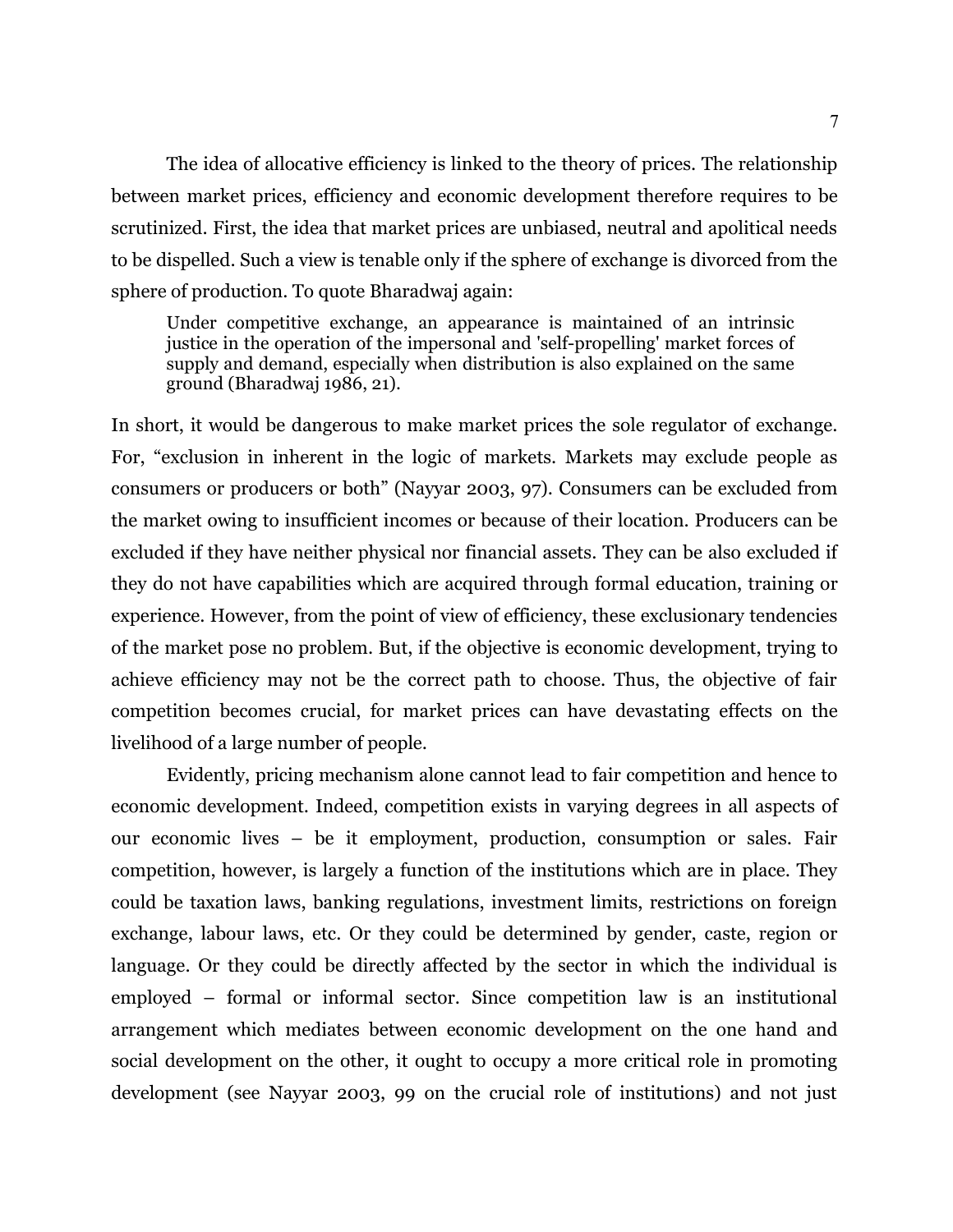The idea of allocative efficiency is linked to the theory of prices. The relationship between market prices, efficiency and economic development therefore requires to be scrutinized. First, the idea that market prices are unbiased, neutral and apolitical needs to be dispelled. Such a view is tenable only if the sphere of exchange is divorced from the sphere of production. To quote Bharadwaj again:

Under competitive exchange, an appearance is maintained of an intrinsic justice in the operation of the impersonal and 'self-propelling' market forces of supply and demand, especially when distribution is also explained on the same ground (Bharadwaj 1986, 21).

In short, it would be dangerous to make market prices the sole regulator of exchange. For, "exclusion in inherent in the logic of markets. Markets may exclude people as consumers or producers or both" (Nayyar 2003, 97). Consumers can be excluded from the market owing to insufficient incomes or because of their location. Producers can be excluded if they have neither physical nor financial assets. They can be also excluded if they do not have capabilities which are acquired through formal education, training or experience. However, from the point of view of efficiency, these exclusionary tendencies of the market pose no problem. But, if the objective is economic development, trying to achieve efficiency may not be the correct path to choose. Thus, the objective of fair competition becomes crucial, for market prices can have devastating effects on the livelihood of a large number of people.

Evidently, pricing mechanism alone cannot lead to fair competition and hence to economic development. Indeed, competition exists in varying degrees in all aspects of our economic lives – be it employment, production, consumption or sales. Fair competition, however, is largely a function of the institutions which are in place. They could be taxation laws, banking regulations, investment limits, restrictions on foreign exchange, labour laws, etc. Or they could be determined by gender, caste, region or language. Or they could be directly affected by the sector in which the individual is employed – formal or informal sector. Since competition law is an institutional arrangement which mediates between economic development on the one hand and social development on the other, it ought to occupy a more critical role in promoting development (see Nayyar 2003, 99 on the crucial role of institutions) and not just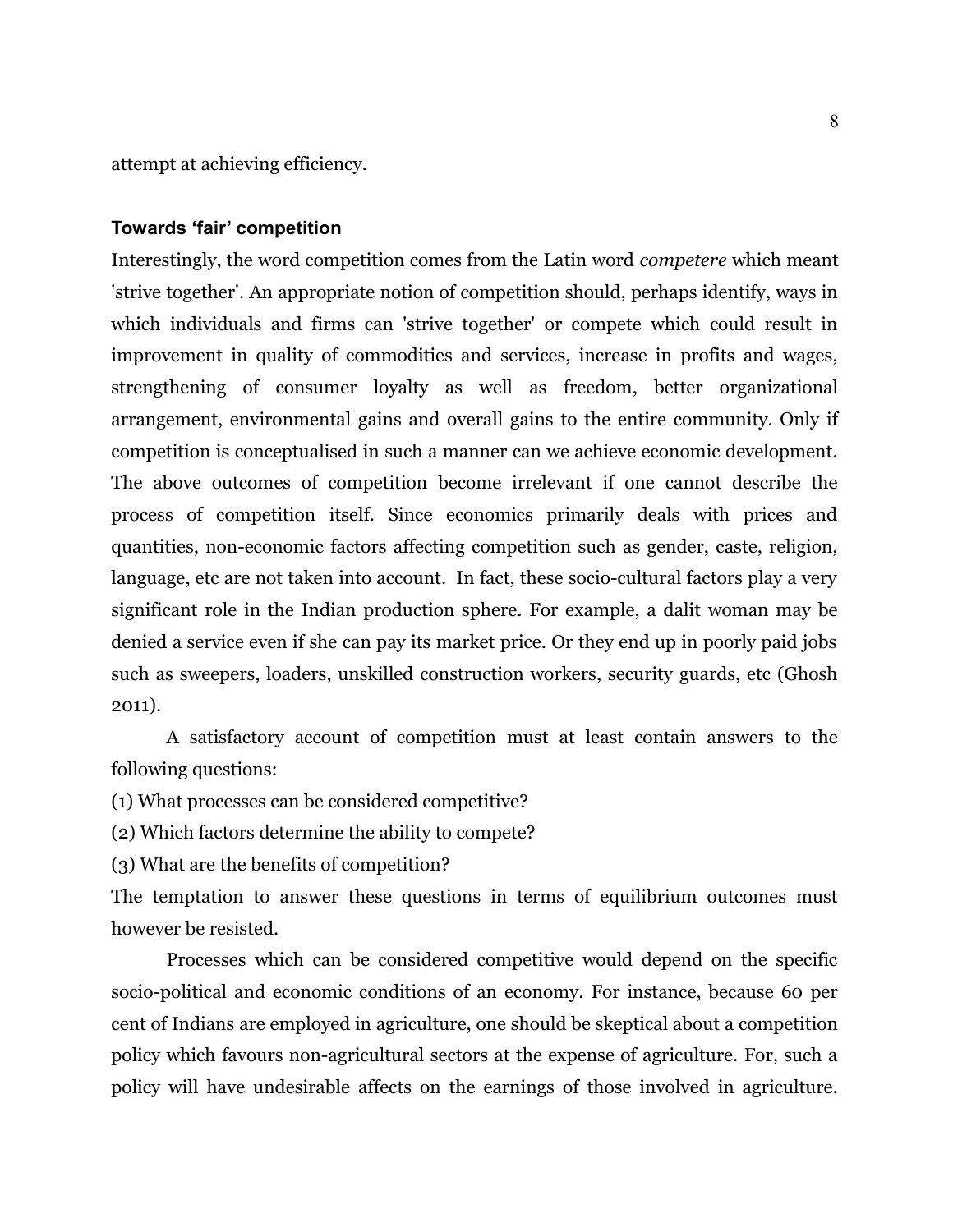attempt at achieving efficiency.

#### **Towards 'fair' competition**

Interestingly, the word competition comes from the Latin word *competere* which meant 'strive together'. An appropriate notion of competition should, perhaps identify, ways in which individuals and firms can 'strive together' or compete which could result in improvement in quality of commodities and services, increase in profits and wages, strengthening of consumer loyalty as well as freedom, better organizational arrangement, environmental gains and overall gains to the entire community. Only if competition is conceptualised in such a manner can we achieve economic development. The above outcomes of competition become irrelevant if one cannot describe the process of competition itself. Since economics primarily deals with prices and quantities, non-economic factors affecting competition such as gender, caste, religion, language, etc are not taken into account. In fact, these socio-cultural factors play a very significant role in the Indian production sphere. For example, a dalit woman may be denied a service even if she can pay its market price. Or they end up in poorly paid jobs such as sweepers, loaders, unskilled construction workers, security guards, etc (Ghosh 2011).

A satisfactory account of competition must at least contain answers to the following questions:

(1) What processes can be considered competitive?

(2) Which factors determine the ability to compete?

(3) What are the benefits of competition?

The temptation to answer these questions in terms of equilibrium outcomes must however be resisted.

Processes which can be considered competitive would depend on the specific socio-political and economic conditions of an economy. For instance, because 60 per cent of Indians are employed in agriculture, one should be skeptical about a competition policy which favours non-agricultural sectors at the expense of agriculture. For, such a policy will have undesirable affects on the earnings of those involved in agriculture.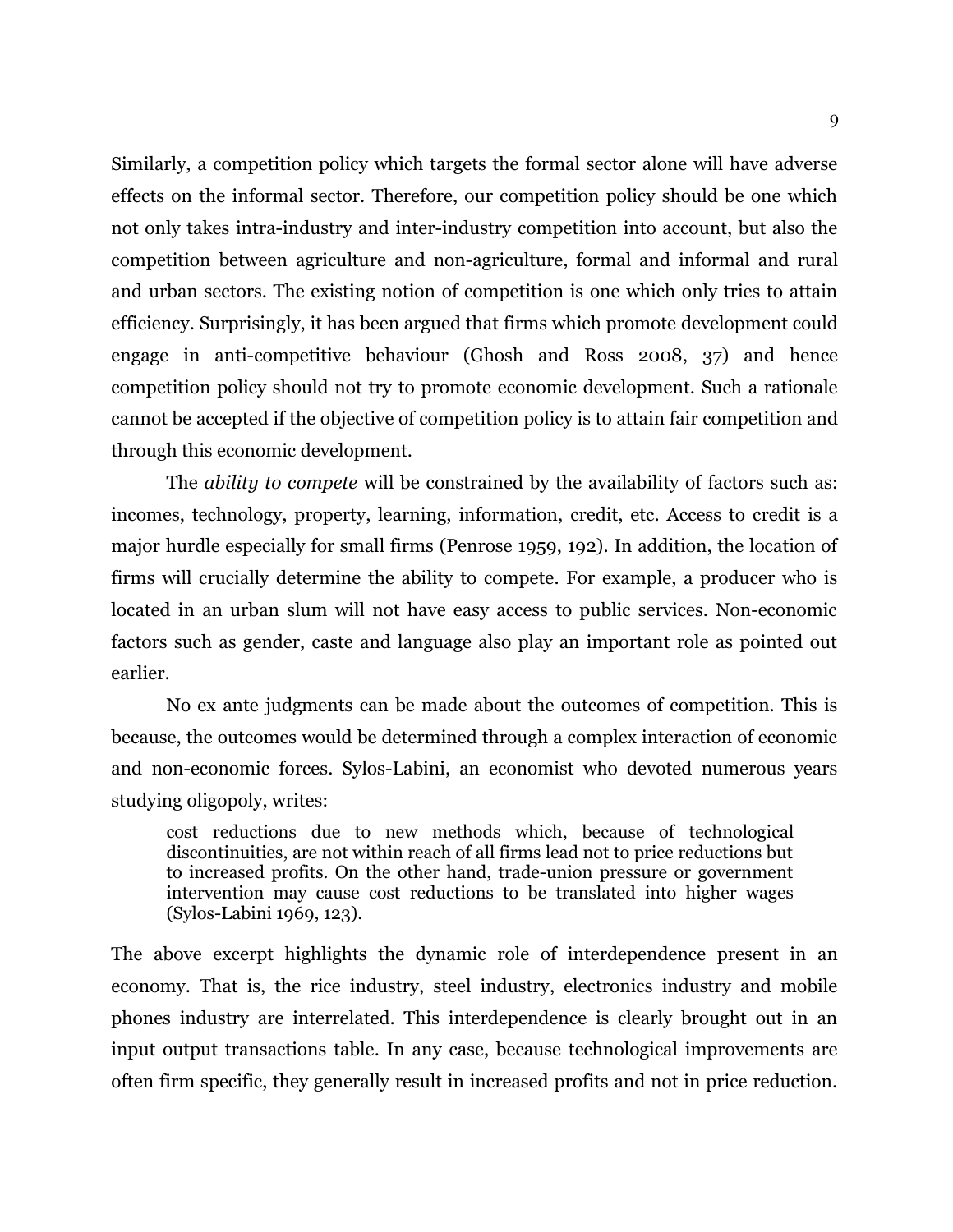Similarly, a competition policy which targets the formal sector alone will have adverse effects on the informal sector. Therefore, our competition policy should be one which not only takes intra-industry and inter-industry competition into account, but also the competition between agriculture and non-agriculture, formal and informal and rural and urban sectors. The existing notion of competition is one which only tries to attain efficiency. Surprisingly, it has been argued that firms which promote development could engage in anti-competitive behaviour (Ghosh and Ross 2008, 37) and hence competition policy should not try to promote economic development. Such a rationale cannot be accepted if the objective of competition policy is to attain fair competition and through this economic development.

The *ability to compete* will be constrained by the availability of factors such as: incomes, technology, property, learning, information, credit, etc. Access to credit is a major hurdle especially for small firms (Penrose 1959, 192). In addition, the location of firms will crucially determine the ability to compete. For example, a producer who is located in an urban slum will not have easy access to public services. Non-economic factors such as gender, caste and language also play an important role as pointed out earlier.

No ex ante judgments can be made about the outcomes of competition. This is because, the outcomes would be determined through a complex interaction of economic and non-economic forces. Sylos-Labini, an economist who devoted numerous years studying oligopoly, writes:

cost reductions due to new methods which, because of technological discontinuities, are not within reach of all firms lead not to price reductions but to increased profits. On the other hand, trade-union pressure or government intervention may cause cost reductions to be translated into higher wages (Sylos-Labini 1969, 123).

The above excerpt highlights the dynamic role of interdependence present in an economy. That is, the rice industry, steel industry, electronics industry and mobile phones industry are interrelated. This interdependence is clearly brought out in an input output transactions table. In any case, because technological improvements are often firm specific, they generally result in increased profits and not in price reduction.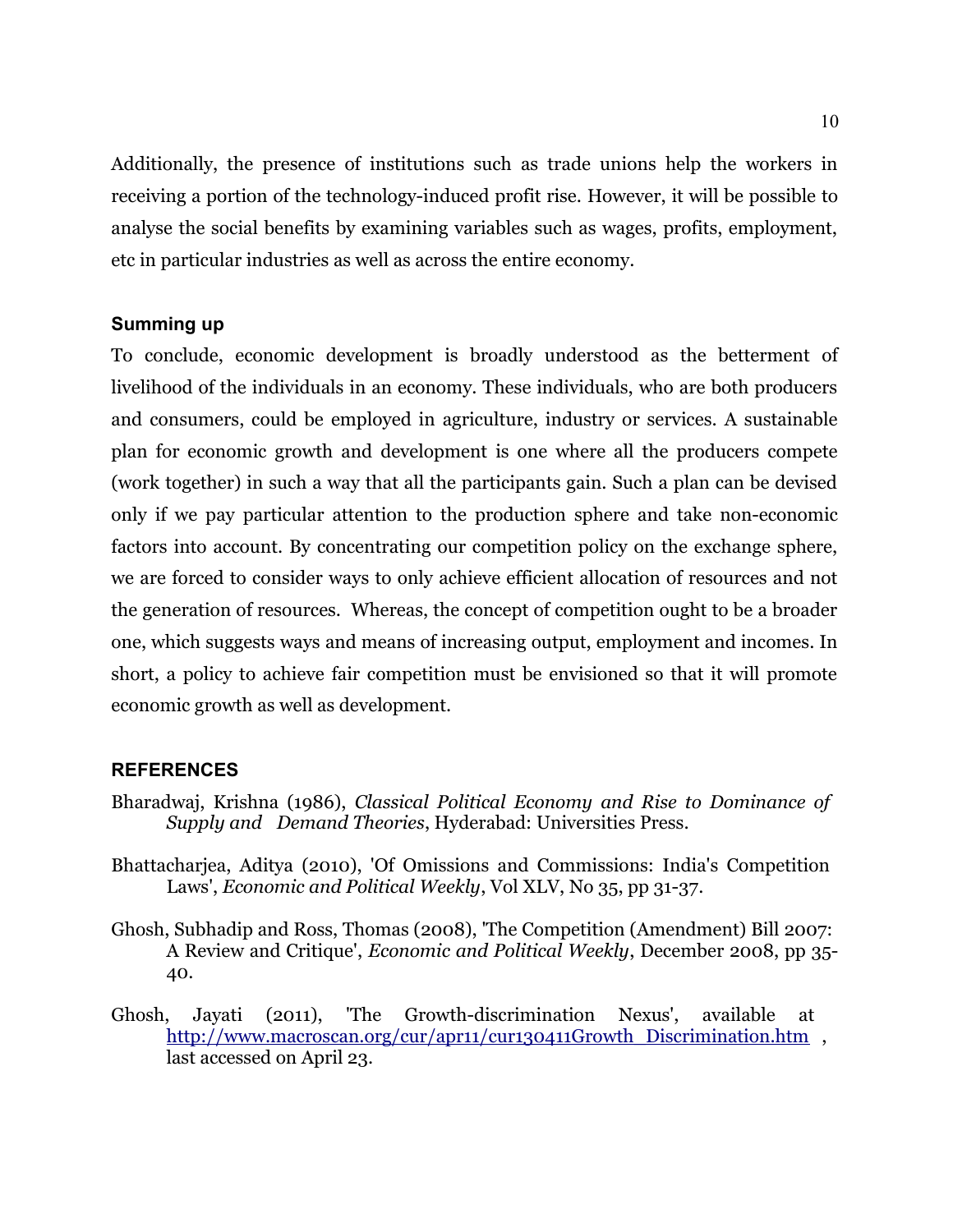Additionally, the presence of institutions such as trade unions help the workers in receiving a portion of the technology-induced profit rise. However, it will be possible to analyse the social benefits by examining variables such as wages, profits, employment, etc in particular industries as well as across the entire economy.

#### **Summing up**

To conclude, economic development is broadly understood as the betterment of livelihood of the individuals in an economy. These individuals, who are both producers and consumers, could be employed in agriculture, industry or services. A sustainable plan for economic growth and development is one where all the producers compete (work together) in such a way that all the participants gain. Such a plan can be devised only if we pay particular attention to the production sphere and take non-economic factors into account. By concentrating our competition policy on the exchange sphere, we are forced to consider ways to only achieve efficient allocation of resources and not the generation of resources. Whereas, the concept of competition ought to be a broader one, which suggests ways and means of increasing output, employment and incomes. In short, a policy to achieve fair competition must be envisioned so that it will promote economic growth as well as development.

#### **REFERENCES**

- Bharadwaj, Krishna (1986), *Classical Political Economy and Rise to Dominance of Supply and Demand Theories*, Hyderabad: Universities Press.
- Bhattacharjea, Aditya (2010), 'Of Omissions and Commissions: India's Competition Laws', *Economic and Political Weekly*, Vol XLV, No 35, pp 31-37.
- Ghosh, Subhadip and Ross, Thomas (2008), 'The Competition (Amendment) Bill 2007: A Review and Critique', *Economic and Political Weekly*, December 2008, pp 35- 40.
- Ghosh, Jayati (2011), 'The Growth-discrimination Nexus', available at http://www.macroscan.org/cur/apr11/cur130411Growth\_Discrimination.htm , last accessed on April 23.